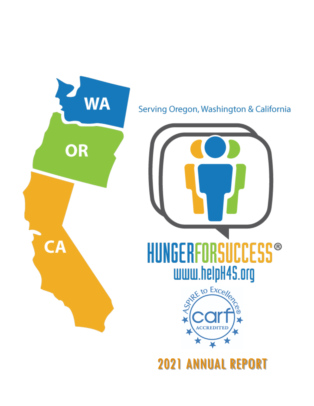

2021 ANNUAL REPORT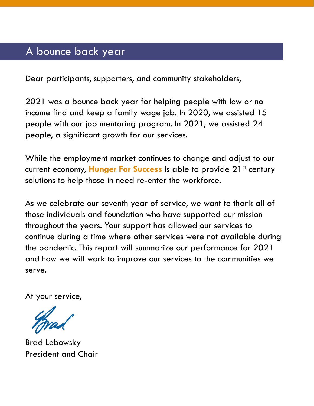## A bounce back year

Dear participants, supporters, and community stakeholders,

2021 was a bounce back year for helping people with low or no income find and keep a family wage job. In 2020, we assisted 15 people with our job mentoring program. In 2021, we assisted 24 people, a significant growth for our services.

While the employment market continues to change and adjust to our current economy, **Hunger For Success** is able to provide 21<sup>st</sup> century solutions to help those in need re-enter the workforce.

As we celebrate our seventh year of service, we want to thank all of those individuals and foundation who have supported our mission throughout the years. Your support has allowed our services to continue during a time where other services were not available during the pandemic. This report will summarize our performance for 2021 and how we will work to improve our services to the communities we serve.

At your service,

Brad Lebowsky President and Chair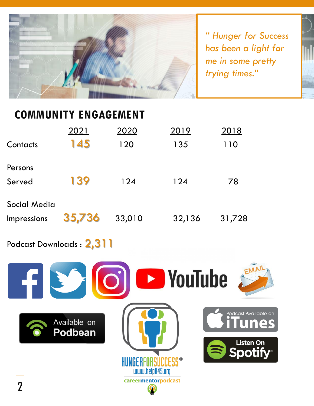

*" Hunger for Success has been a light for me in some pretty trying times."*

## **COMMUNITY ENGAGEMENT**

| Contacts                    | 2021<br>145 | 2020<br>120 | 2019<br>135 | 2018<br>110 |
|-----------------------------|-------------|-------------|-------------|-------------|
| Persons<br>Served           | 139         | 124         | 124         | 78          |
| Social Media<br>Impressions | 35,736      | 33,010      | 32,136      | 31,728      |

Podcast Downloads : 2,311

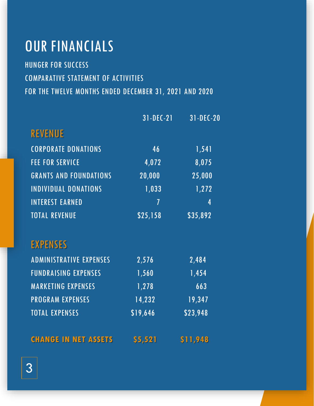## OUR FINANCIALS

HUNGER FOR SUCCESS COMPARATIVE STATEMENT OF ACTIVITIES FOR THE TWELVE MONTHS ENDED DECEMBER 31, 2021 AND 2020

|                                | $31 - DEC - 21$ | 31-DEC-20 |
|--------------------------------|-----------------|-----------|
| <b>REVENUE</b>                 |                 |           |
| <b>CORPORATE DONATIONS</b>     | 46              | 1,541     |
| <b>FEE FOR SERVICE</b>         | 4,072           | 8,075     |
| <b>GRANTS AND FOUNDATIONS</b>  | 20,000          | 25,000    |
| <b>INDIVIDUAL DONATIONS</b>    | 1,033           | 1,272     |
| <b>INTEREST EARNED</b>         | $\overline{1}$  | 4         |
| <b>TOTAL REVENUE</b>           | \$25,158        | \$35,892  |
| <b>EXPENSES</b>                |                 |           |
| <b>ADMINISTRATIVE EXPENSES</b> | 2,576           | 2,484     |
| <b>FUNDRAISING EXPENSES</b>    | 1,560           | 1,454     |
| <b>MARKETING EXPENSES</b>      | 1,278           | 663       |
| <b>PROGRAM EXPENSES</b>        | 14,232          | 19,347    |
| <b>TOTAL EXPENSES</b>          | \$19,646        | \$23,948  |
| <b>CHANGE IN NET ASSETS</b>    | \$5,521         | \$11,948  |